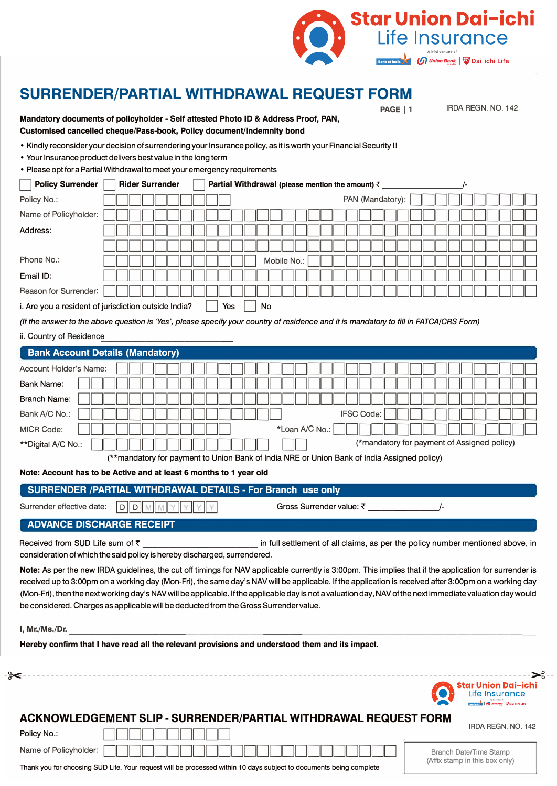

## **SURRENDER/PARTIAL WITHDRAWAL REQUEST FORM**

|                           | • Kindly reconsider your decision of surrendering your Insurance policy, as it is worth your Financial Security!!<br>• Your Insurance product delivers best value in the long term<br>• Please opt for a Partial Withdrawal to meet your emergency requirements |
|---------------------------|-----------------------------------------------------------------------------------------------------------------------------------------------------------------------------------------------------------------------------------------------------------------|
| <b>Policy Surrender</b>   | <b>Rider Surrender</b><br>Partial Withdrawal (please mention the amount) ₹                                                                                                                                                                                      |
| Policy No.:               | PAN (Mandatory):                                                                                                                                                                                                                                                |
| Name of Policyholder:     |                                                                                                                                                                                                                                                                 |
| Address:                  |                                                                                                                                                                                                                                                                 |
|                           |                                                                                                                                                                                                                                                                 |
| Phone No.:                | Mobile No.:                                                                                                                                                                                                                                                     |
| Email ID:                 |                                                                                                                                                                                                                                                                 |
| Reason for Surrender:     |                                                                                                                                                                                                                                                                 |
|                           | i. Are you a resident of jurisdiction outside India?<br>No<br>Yes                                                                                                                                                                                               |
|                           | (If the answer to the above question is 'Yes', please specify your country of residence and it is mandatory to fill in FATCA/CRS Form)                                                                                                                          |
| ii. Country of Residence  |                                                                                                                                                                                                                                                                 |
|                           | <b>Bank Account Details (Mandatory)</b>                                                                                                                                                                                                                         |
| Account Holder's Name:    |                                                                                                                                                                                                                                                                 |
| <b>Bank Name:</b>         |                                                                                                                                                                                                                                                                 |
| <b>Branch Name:</b>       |                                                                                                                                                                                                                                                                 |
| Bank A/C No.:             | <b>IFSC Code:</b>                                                                                                                                                                                                                                               |
| <b>MICR Code:</b>         | *Loan A/C No.:                                                                                                                                                                                                                                                  |
| **Digital A/C No.:        | (*mandatory for payment of Assigned policy)                                                                                                                                                                                                                     |
|                           | (**mandatory for payment to Union Bank of India NRE or Union Bank of India Assigned policy)                                                                                                                                                                     |
|                           | Note: Account has to be Active and at least 6 months to 1 year old                                                                                                                                                                                              |
|                           | SURRENDER /PARTIAL WITHDRAWAL DETAILS - For Branch use only                                                                                                                                                                                                     |
| Surrender effective date: | D D M M Y Y Y Y<br>Gross Surrender value: ₹                                                                                                                                                                                                                     |
|                           | <b>ADVANCE DISCHARGE RECEIPT</b>                                                                                                                                                                                                                                |
|                           |                                                                                                                                                                                                                                                                 |
|                           | consideration of which the said policy is hereby discharged, surrendered.                                                                                                                                                                                       |
|                           | Note: As per the new IRDA guidelines, the cut off timings for NAV applicable currently is 3:00pm. This implies that if the application for surrender is                                                                                                         |
|                           | received up to 3:00pm on a working day (Mon-Fri), the same day's NAV will be applicable. If the application is received after 3:00pm on a working day                                                                                                           |
|                           | (Mon-Fri), then the next working day's NAV will be applicable. If the applicable day is not a valuation day, NAV of the next immediate valuation day would                                                                                                      |
|                           | be considered. Charges as applicable will be deducted from the Gross Surrender value.                                                                                                                                                                           |
| I, Mr./Ms./Dr.            |                                                                                                                                                                                                                                                                 |
|                           | Hereby confirm that I have read all the relevant provisions and understood them and its impact.                                                                                                                                                                 |
|                           |                                                                                                                                                                                                                                                                 |
|                           |                                                                                                                                                                                                                                                                 |
|                           |                                                                                                                                                                                                                                                                 |

Thank you for choosing SUD Life. Your request will be processed within 10 days subject to documents being complete

Name of Policyholder:

Branch Date/Time Stamp (Affix stamp in this box only)